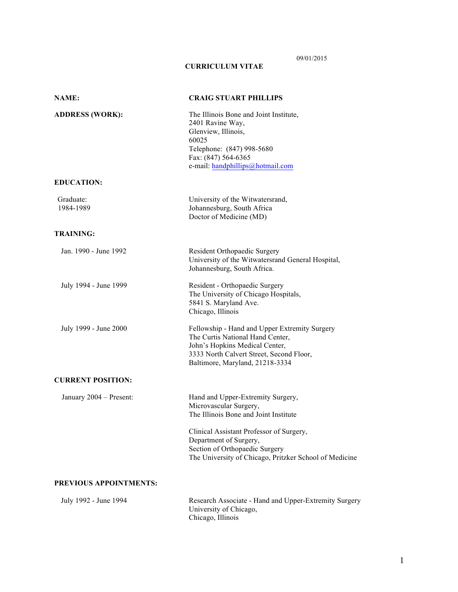# 09/01/2015

## **CURRICULUM VITAE**

| <b>NAME:</b>             | <b>CRAIG STUART PHILLIPS</b>                                                                                                                                                                       |
|--------------------------|----------------------------------------------------------------------------------------------------------------------------------------------------------------------------------------------------|
| <b>ADDRESS (WORK):</b>   | The Illinois Bone and Joint Institute,<br>2401 Ravine Way,<br>Glenview, Illinois,<br>60025<br>Telephone: (847) 998-5680<br>Fax: (847) 564-6365<br>e-mail: handphillips@hotmail.com                 |
| <b>EDUCATION:</b>        |                                                                                                                                                                                                    |
| Graduate:<br>1984-1989   | University of the Witwatersrand,<br>Johannesburg, South Africa<br>Doctor of Medicine (MD)                                                                                                          |
| <b>TRAINING:</b>         |                                                                                                                                                                                                    |
| Jan. 1990 - June 1992    | Resident Orthopaedic Surgery<br>University of the Witwatersrand General Hospital,<br>Johannesburg, South Africa.                                                                                   |
| July 1994 - June 1999    | Resident - Orthopaedic Surgery<br>The University of Chicago Hospitals,<br>5841 S. Maryland Ave.<br>Chicago, Illinois                                                                               |
| July 1999 - June 2000    | Fellowship - Hand and Upper Extremity Surgery<br>The Curtis National Hand Center,<br>John's Hopkins Medical Center,<br>3333 North Calvert Street, Second Floor,<br>Baltimore, Maryland, 21218-3334 |
| <b>CURRENT POSITION:</b> |                                                                                                                                                                                                    |
| January 2004 - Present:  | Hand and Upper-Extremity Surgery,<br>Microvascular Surgery,<br>The Illinois Bone and Joint Institute                                                                                               |
|                          | Clinical Assistant Professor of Surgery,<br>Department of Surgery,<br>Section of Orthopaedic Surgery<br>The University of Chicago, Pritzker School of Medicine                                     |
| PREVIOUS APPOINTMENTS:   |                                                                                                                                                                                                    |
| July 1992 - June 1994    | Research Associate - Hand and Upper-Extremity Surgery                                                                                                                                              |

University of Chicago, Chicago, Illinois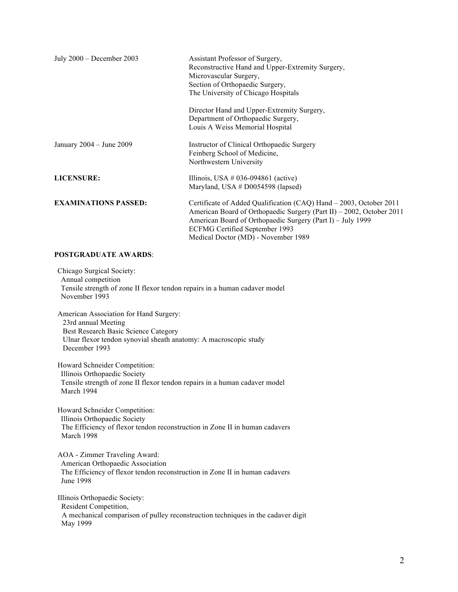| July 2000 - December 2003    | Assistant Professor of Surgery,<br>Reconstructive Hand and Upper-Extremity Surgery,<br>Microvascular Surgery,<br>Section of Orthopaedic Surgery,<br>The University of Chicago Hospitals                                                                                                  |
|------------------------------|------------------------------------------------------------------------------------------------------------------------------------------------------------------------------------------------------------------------------------------------------------------------------------------|
|                              | Director Hand and Upper-Extremity Surgery,<br>Department of Orthopaedic Surgery,<br>Louis A Weiss Memorial Hospital                                                                                                                                                                      |
| January $2004 -$ June $2009$ | Instructor of Clinical Orthopaedic Surgery<br>Feinberg School of Medicine,<br>Northwestern University                                                                                                                                                                                    |
| <b>LICENSURE:</b>            | Illinois, USA # 036-094861 (active)<br>Maryland, USA $#$ D0054598 (lapsed)                                                                                                                                                                                                               |
| <b>EXAMINATIONS PASSED:</b>  | Certificate of Added Qualification (CAQ) Hand - 2003, October 2011<br>American Board of Orthopaedic Surgery (Part II) – 2002, October 2011<br>American Board of Orthopaedic Surgery (Part I) – July 1999<br><b>ECFMG Certified September 1993</b><br>Medical Doctor (MD) - November 1989 |

## **POSTGRADUATE AWARDS**:

Chicago Surgical Society: Annual competition Tensile strength of zone II flexor tendon repairs in a human cadaver model November 1993

American Association for Hand Surgery: 23rd annual Meeting Best Research Basic Science Category Ulnar flexor tendon synovial sheath anatomy: A macroscopic study December 1993

Howard Schneider Competition: Illinois Orthopaedic Society Tensile strength of zone II flexor tendon repairs in a human cadaver model March 1994

Howard Schneider Competition: Illinois Orthopaedic Society The Efficiency of flexor tendon reconstruction in Zone II in human cadavers March 1998

AOA - Zimmer Traveling Award: American Orthopaedic Association The Efficiency of flexor tendon reconstruction in Zone II in human cadavers June 1998

Illinois Orthopaedic Society: Resident Competition, A mechanical comparison of pulley reconstruction techniques in the cadaver digit May 1999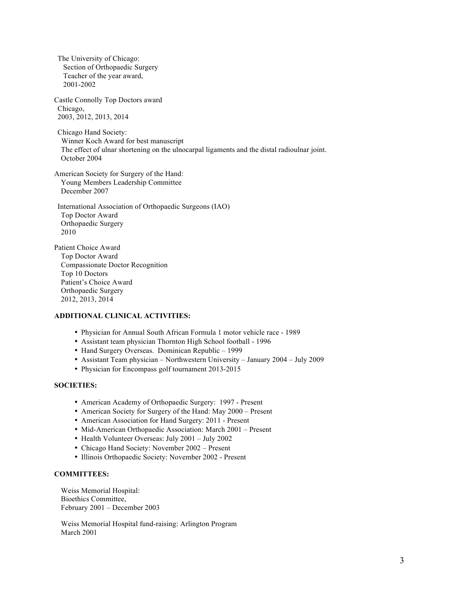The University of Chicago: Section of Orthopaedic Surgery Teacher of the year award, 2001-2002

Castle Connolly Top Doctors award Chicago, 2003, 2012, 2013, 2014

Chicago Hand Society: Winner Koch Award for best manuscript The effect of ulnar shortening on the ulnocarpal ligaments and the distal radioulnar joint. October 2004

American Society for Surgery of the Hand: Young Members Leadership Committee December 2007

International Association of Orthopaedic Surgeons (IAO) Top Doctor Award Orthopaedic Surgery 2010

Patient Choice Award Top Doctor Award Compassionate Doctor Recognition Top 10 Doctors Patient's Choice Award Orthopaedic Surgery 2012, 2013, 2014

## **ADDITIONAL CLINICAL ACTIVITIES:**

- Physician for Annual South African Formula 1 motor vehicle race 1989
- Assistant team physician Thornton High School football 1996
- Hand Surgery Overseas. Dominican Republic 1999
- Assistant Team physician Northwestern University January 2004 July 2009
- Physician for Encompass golf tournament 2013-2015

### **SOCIETIES:**

- American Academy of Orthopaedic Surgery: 1997 Present
- American Society for Surgery of the Hand: May 2000 Present
- American Association for Hand Surgery: 2011 Present
- Mid-American Orthopaedic Association: March 2001 Present
- Health Volunteer Overseas: July 2001 July 2002
- Chicago Hand Society: November 2002 Present
- Illinois Orthopaedic Society: November 2002 Present

#### **COMMITTEES:**

Weiss Memorial Hospital: Bioethics Committee, February 2001 – December 2003

Weiss Memorial Hospital fund-raising: Arlington Program March 2001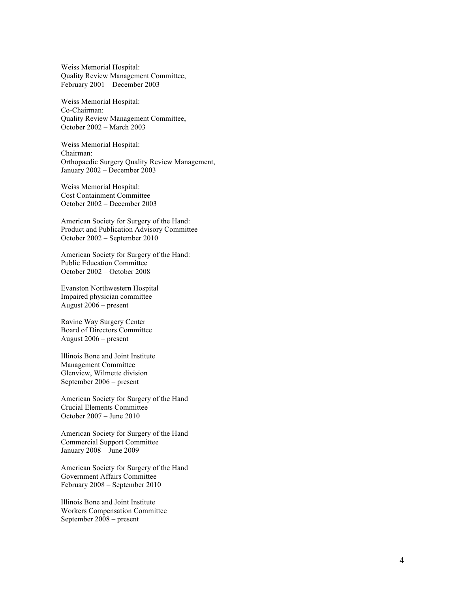Weiss Memorial Hospital: Quality Review Management Committee, February 2001 – December 2003

Weiss Memorial Hospital: Co -Chairman: Quality Review Management Committee, October 2002 – March 2003

Weiss Memorial Hospital: Chairman: Orthopaedic Surgery Quality Review Management, January 2002 – December 2003

Weiss Memorial Hospital : Cost Containment Committee October 2002 – December 2003

American Society for Surgery of the Hand: Product and Publication Advisory Committee October 2002 – September 2010

American Society for Surgery of the Hand: Public Education Committee October 2002 – October 2008

Evanston Northwestern Hospital Impaired physician committee August 2006 – present

Ravine Way Surgery Center Board of Directors Committee August 2006 – present

Illinois Bone and Joint Institute Management Committee Glenview, Wilmette division September 2006 – present

American Society for Surgery of the Hand Crucial Elements Committee October 2007 – June 2010

American Society for Surgery of the Hand Commercial Support Committee January 2008 – June 2009

American Society for Surgery of the Hand Government Affairs Committee February 2008 – September 2010

Illinois Bone and Joint Institute Workers Compensation Committee September 2008 – present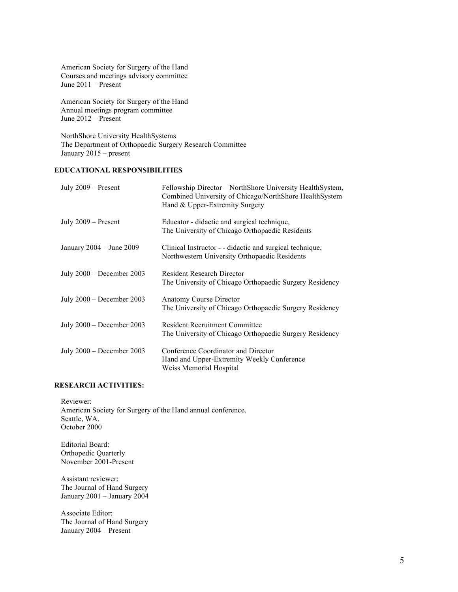American Society for Surgery of the Hand Courses and meetings advisory committee June 2011 – Present

American Society for Surgery of the Hand Annual meetings program committee June 2012 – Present

NorthShore University HealthSystems The Department of Orthopaedic Surgery Research Committee January 2015 – present

## **EDUCATIONAL RESPONSIBILITIES**

| July $2009 -$ Present        | Fellowship Director – NorthShore University HealthSystem,<br>Combined University of Chicago/NorthShore HealthSystem<br>Hand & Upper-Extremity Surgery |
|------------------------------|-------------------------------------------------------------------------------------------------------------------------------------------------------|
| July $2009 -$ Present        | Educator - didactic and surgical technique,<br>The University of Chicago Orthopaedic Residents                                                        |
| January $2004 -$ June $2009$ | Clinical Instructor - - didactic and surgical technique,<br>Northwestern University Orthopaedic Residents                                             |
| July $2000 - December 2003$  | <b>Resident Research Director</b><br>The University of Chicago Orthopaedic Surgery Residency                                                          |
| July $2000 - December 2003$  | Anatomy Course Director<br>The University of Chicago Orthopaedic Surgery Residency                                                                    |
| July $2000 - December 2003$  | <b>Resident Recruitment Committee</b><br>The University of Chicago Orthopaedic Surgery Residency                                                      |
| July $2000 - December 2003$  | Conference Coordinator and Director<br>Hand and Upper-Extremity Weekly Conference<br>Weiss Memorial Hospital                                          |

#### **RESEARCH ACTIVITIES:**

Reviewer: American Society for Surgery of the Hand annual conference. Seattle, WA. October 2000

Editorial Board: Orthopedic Quarterly November 2001-Present

Assistant reviewer: The Journal of Hand Surgery January 2001 – January 2004

Associate Editor: The Journal of Hand Surgery January 2004 – Present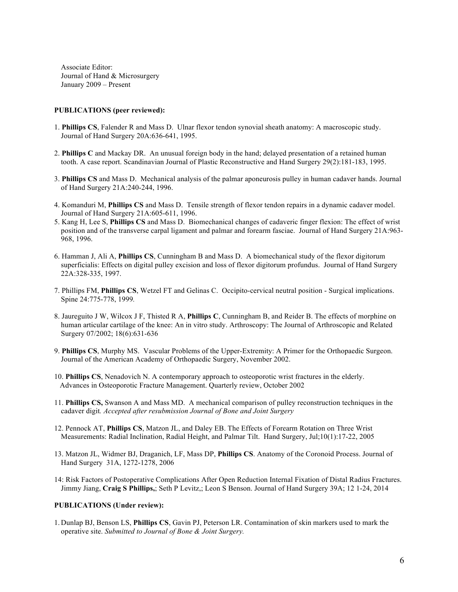Associate Editor: Journal of Hand & Microsurgery January 2009 – Present

#### **PUBLICATIONS (peer reviewed):**

- 1. **Phillips CS**, Falender R and Mass D. Ulnar flexor tendon synovial sheath anatomy: A macroscopic study. Journal of Hand Surgery 20A:636-641, 1995.
- 2. **Phillips C** and Mackay DR. An unusual foreign body in the hand; delayed presentation of a retained human tooth. A case report. Scandinavian Journal of Plastic Reconstructive and Hand Surgery 29(2):181-183, 1995.
- 3. **Phillips CS** and Mass D. Mechanical analysis of the palmar aponeurosis pulley in human cadaver hands. Journal of Hand Surgery 21A:240-244, 1996.
- 4. Komanduri M, **Phillips CS** and Mass D. Tensile strength of flexor tendon repairs in a dynamic cadaver model. Journal of Hand Surgery 21A:605-611, 1996.
- 5. Kang H, Lee S, **Phillips CS** and Mass D. Biomechanical changes of cadaveric finger flexion: The effect of wrist position and of the transverse carpal ligament and palmar and forearm fasciae. Journal of Hand Surgery 21A:963- 968, 1996.
- 6. Hamman J, Ali A, **Phillips CS**, Cunningham B and Mass D. A biomechanical study of the flexor digitorum superficialis: Effects on digital pulley excision and loss of flexor digitorum profundus. Journal of Hand Surgery 22A:328-335, 1997.
- 7. Phillips FM, **Phillips CS**, Wetzel FT and Gelinas C. Occipito-cervical neutral position Surgical implications. Spine 24:775-778, 1999*.*
- 8. Jaureguito J W, Wilcox J F, Thisted R A, **Phillips C**, Cunningham B, and Reider B. The effects of morphine on human articular cartilage of the knee: An in vitro study. Arthroscopy: The Journal of Arthroscopic and Related Surgery 07/2002; 18(6):631-636
- 9. **Phillips CS**, Murphy MS. Vascular Problems of the Upper-Extremity: A Primer for the Orthopaedic Surgeon. Journal of the American Academy of Orthopaedic Surgery, November 2002.
- 10. **Phillips CS**, Nenadovich N. A contemporary approach to osteoporotic wrist fractures in the elderly. Advances in Osteoporotic Fracture Management. Quarterly review, October 2002
- 11. **Phillips CS,** Swanson A and Mass MD. A mechanical comparison of pulley reconstruction techniques in the cadaver digit*. Accepted after resubmission Journal of Bone and Joint Surgery*
- 12. Pennock AT, **Phillips CS**, Matzon JL, and Daley EB. The Effects of Forearm Rotation on Three Wrist Measurements: Radial Inclination, Radial Height, and Palmar Tilt. Hand Surgery, Jul;10(1):17-22, 2005
- 13. Matzon JL, Widmer BJ, Draganich, LF, Mass DP, **Phillips CS**. Anatomy of the Coronoid Process. Journal of Hand Surgery 31A, 1272-1278, 2006
- 14: Risk Factors of Postoperative Complications After Open Reduction Internal Fixation of Distal Radius Fractures. Jimmy Jiang, **Craig S Phillips,**; Seth P Levitz,; Leon S Benson. Journal of Hand Surgery 39A; 12 1-24, 2014

### **PUBLICATIONS (Under review):**

1. Dunlap BJ, Benson LS, **Phillips CS**, Gavin PJ, Peterson LR. Contamination of skin markers used to mark the operative site. *Submitted to Journal of Bone & Joint Surgery.*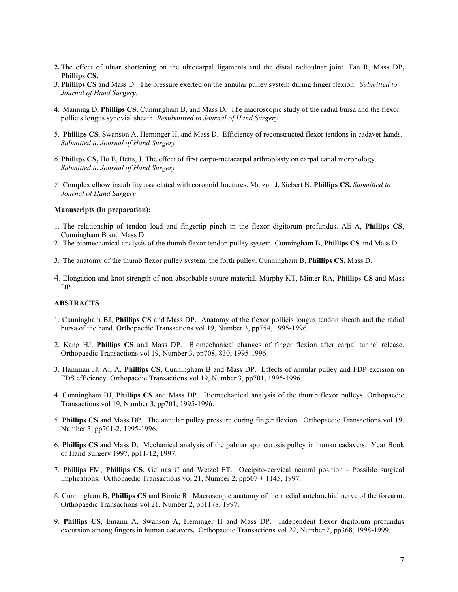- **2.** The effect of ulnar shortening on the ulnocarpal ligaments and the distal radioulnar joint. Tan R, Mass DP**, Phillips CS.**
- 3. **Phillips CS** and Mass D. The pressure exerted on the annular pulley system during finger flexion. *Submitted to Journal of Hand Surgery.*
- 4. Manning D, **Phillips CS,** Cunningham B, and Mass D. The macroscopic study of the radial bursa and the flexor pollicis longus synovial sheath. *Resubmitted to Journal of Hand Surgery*
- 5. **Phillips CS**, Swanson A, Heminger H, and Mass D. Efficiency of reconstructed flexor tendons in cadaver hands. *Submitted to Journal of Hand Surgery.*
- *6.* **Phillips CS,** Ho E, Betts, J. The effect of first carpo-metacarpal arthroplasty on carpal canal morphology. *Submitted to Journal of Hand Surgery*
- *7.* Complex elbow instability associated with coronoid fractures. Matzon J, Siebert N, **Phillips CS.** *Submitted to Journal of Hand Surgery*

#### **Manuscripts (In preparation):**

- 1. The relationship of tendon load and fingertip pinch in the flexor digitorum profundus. Ali A, **Phillips CS**, Cunningham B and Mass D
- 2. The biomechanical analysis of the thumb flexor tendon pulley system. Cunningham B, **Phillips CS** and Mass D.
- 3. The anatomy of the thumb flexor pulley system; the forth pulley. Cunningham B, **Phillips CS**, Mass D.
- 4. Elongation and knot strength of non-absorbable suture material. Murphy KT, Minter RA, **Phillips CS** and Mass DP.

#### **ABSTRACTS**

- 1. Cunningham BJ, **Phillips CS** and Mass DP. Anatomy of the flexor pollicis longus tendon sheath and the radial bursa of the hand. Orthopaedic Transactions vol 19, Number 3, pp754, 1995-1996.
- 2. Kang HJ, **Phillips CS** and Mass DP. Biomechanical changes of finger flexion after carpal tunnel release. Orthopaedic Transactions vol 19, Number 3, pp708, 830, 1995-1996.
- 3. Hamman JJ, Ali A, **Phillips CS**, Cunningham B and Mass DP. Effects of annular pulley and FDP excision on FDS efficiency. Orthopaedic Transactions vol 19, Number 3, pp701, 1995-1996.
- 4. Cunningham BJ, **Phillips CS** and Mass DP. Biomechanical analysis of the thumb flexor pulleys. Orthopaedic Transactions vol 19, Number 3, pp701, 1995-1996.
- 5. **Phillips CS** and Mass DP. The annular pulley pressure during finger flexion. Orthopaedic Transactions vol 19, Number 3, pp701-2, 1995-1996.
- 6. **Phillips CS** and Mass D. Mechanical analysis of the palmar aponeurosis pulley in human cadavers. Year Book of Hand Surgery 1997, pp11-12, 1997.
- 7. Phillips FM, **Phillips CS**, Gelinas C and Wetzel FT. Occipito-cervical neutral position Possible surgical implications. Orthopaedic Transactions vol 21, Number 2, pp507 + 1145, 1997.
- 8. Cunningham B, **Phillips CS** and Birnie R. Macroscopic anatomy of the medial antebrachial nerve of the forearm. Orthopaedic Transactions vol 21, Number 2, pp1178, 1997.
- 9. **Phillips CS**, Emami A, Swanson A, Heminger H and Mass DP. Independent flexor digitorum profundus excursion among fingers in human cadavers**.** Orthopaedic Transactions vol 22, Number 2, pp368, 1998-1999.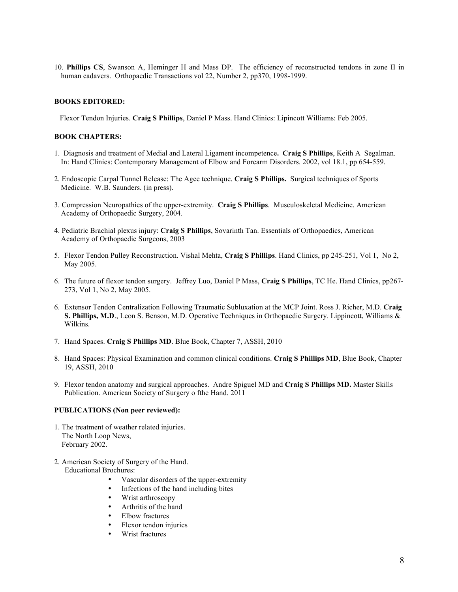10. **Phillips CS**, Swanson A, Heminger H and Mass DP. The efficiency of reconstructed tendons in zone II in human cadavers. Orthopaedic Transactions vol 22, Number 2, pp370, 1998-1999.

### **BOOKS EDITORED:**

Flexor Tendon Injuries. **Craig S Phillips**, Daniel P Mass. Hand Clinics: Lipincott Williams: Feb 2005.

### **BOOK CHAPTERS:**

- 1. Diagnosis and treatment of Medial and Lateral Ligament incompetence**. Craig S Phillips**, Keith A Segalman. In: Hand Clinics: Contemporary Management of Elbow and Forearm Disorders. 2002, vol 18.1, pp 654-559.
- 2. Endoscopic Carpal Tunnel Release: The Agee technique. **Craig S Phillips.** Surgical techniques of Sports Medicine. W.B. Saunders. (in press).
- 3. Compression Neuropathies of the upper-extremity. **Craig S Phillips**. Musculoskeletal Medicine. American Academy of Orthopaedic Surgery, 2004.
- 4. Pediatric Brachial plexus injury: **Craig S Phillips**, Sovarinth Tan. Essentials of Orthopaedics, American Academy of Orthopaedic Surgeons, 2003
- 5. Flexor Tendon Pulley Reconstruction. Vishal Mehta, **Craig S Phillips**. Hand Clinics, pp 245-251, Vol 1, No 2, May 2005.
- 6. The future of flexor tendon surgery. Jeffrey Luo, Daniel P Mass, **Craig S Phillips**, TC He. Hand Clinics, pp267- 273, Vol 1, No 2, May 2005.
- 6. Extensor Tendon Centralization Following Traumatic Subluxation at the MCP Joint. Ross J. Richer, M.D. **Craig S. Phillips, M.D**., Leon S. Benson, M.D. Operative Techniques in Orthopaedic Surgery. Lippincott, Williams & Wilkins.
- 7. Hand Spaces. **Craig S Phillips MD**. Blue Book, Chapter 7, ASSH, 2010
- 8. Hand Spaces: Physical Examination and common clinical conditions. **Craig S Phillips MD**, Blue Book, Chapter 19, ASSH, 2010
- 9. Flexor tendon anatomy and surgical approaches. Andre Spiguel MD and **Craig S Phillips MD.** Master Skills Publication. American Society of Surgery o fthe Hand. 2011

#### **PUBLICATIONS (Non peer reviewed):**

- 1. The treatment of weather related injuries. The North Loop News, February 2002.
- 2. American Society of Surgery of the Hand. Educational Brochures:
	- Vascular disorders of the upper-extremity
	- Infections of the hand including bites
	- Wrist arthroscopy
	- Arthritis of the hand
	- Elbow fractures
	- Flexor tendon injuries
	- Wrist fractures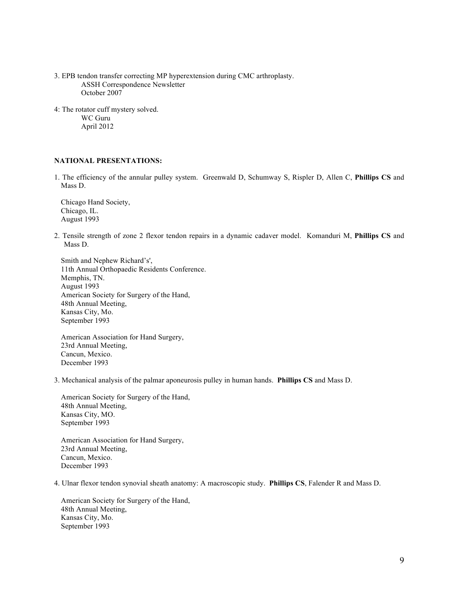- 3. EPB tendon transfer correcting MP hyperextension during CMC arthroplasty. ASSH Correspondence Newsletter October 2007
- 4: The rotator cuff mystery solved. WC Guru April 2012

## **NATIONAL PRESENTATIONS:**

1. The efficiency of the annular pulley system. Greenwald D, Schumway S, Rispler D, Allen C, **Phillips CS** and Mass D.

Chicago Hand Society, Chicago, IL. August 1993

2. Tensile strength of zone 2 flexor tendon repairs in a dynamic cadaver model. Komanduri M, **Phillips CS** and Mass D.

Smith and Nephew Richard's', 11th Annual Orthopaedic Residents Conference. Memphis, TN. August 1993 American Society for Surgery of the Hand, 48th Annual Meeting, Kansas City, Mo. September 1993

American Association for Hand Surgery, 23rd Annual Meeting, Cancun, Mexico. December 1993

3. Mechanical analysis of the palmar aponeurosis pulley in human hands. **Phillips CS** and Mass D.

American Society for Surgery of the Hand, 48th Annual Meeting, Kansas City, MO. September 1993

American Association for Hand Surgery, 23rd Annual Meeting, Cancun, Mexico. December 1993

4. Ulnar flexor tendon synovial sheath anatomy: A macroscopic study. **Phillips CS**, Falender R and Mass D.

American Society for Surgery of the Hand, 48th Annual Meeting, Kansas City, Mo. September 1993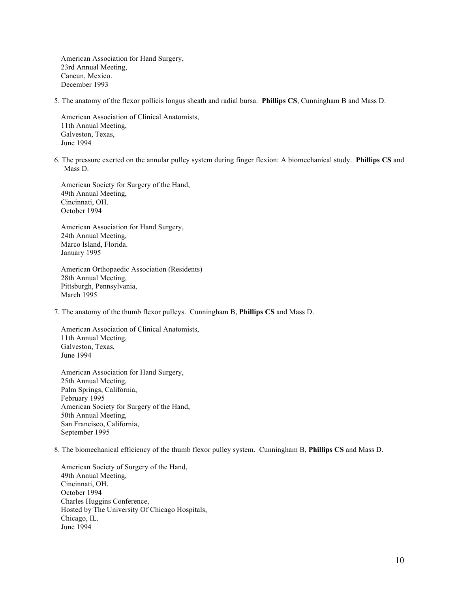American Association for Hand Surgery, 23rd Annual Meeting, Cancun, Mexico. December 1993

5. The anatomy of the flexor pollicis longus sheath and radial bursa. **Phillips CS**, Cunningham B and Mass D.

American Association of Clinical Anatomists, 11th Annual Meeting, Galveston, Texas, June 1994

6. The pressure exerted on the annular pulley system during finger flexion: A biomechanical study. **Phillips CS** and Mass D.

American Society for Surgery of the Hand, 49th Annual Meeting, Cincinnati, OH. October 1994

American Association for Hand Surgery, 24th Annual Meeting, Marco Island, Florida. January 1995

American Orthopaedic Association (Residents) 28th Annual Meeting, Pittsburgh, Pennsylvania, March 1995

7. The anatomy of the thumb flexor pulleys. Cunningham B, **Phillips CS** and Mass D.

American Association of Clinical Anatomists, 11th Annual Meeting, Galveston, Texas, June 1994

American Association for Hand Surgery, 25th Annual Meeting, Palm Springs, California, February 1995 American Society for Surgery of the Hand, 50th Annual Meeting, San Francisco, California, September 1995

8. The biomechanical efficiency of the thumb flexor pulley system. Cunningham B, **Phillips CS** and Mass D.

American Society of Surgery of the Hand, 49th Annual Meeting, Cincinnati, OH. October 1994 Charles Huggins Conference, Hosted by The University Of Chicago Hospitals, Chicago, IL. June 1994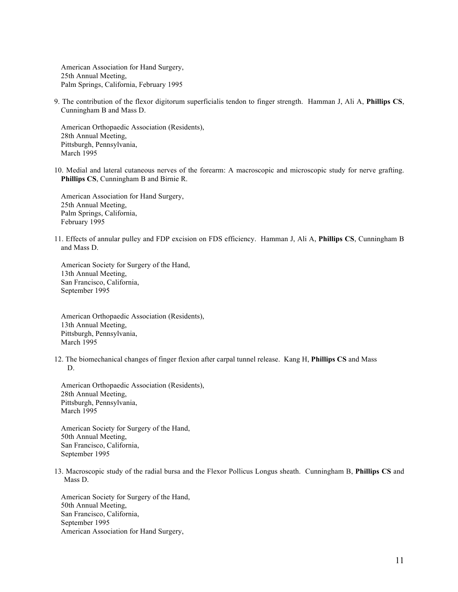American Association for Hand Surgery, 25th Annual Meeting, Palm Springs, California, February 1995

9. The contribution of the flexor digitorum superficialis tendon to finger strength. Hamman J, Ali A, **Phillips CS**, Cunningham B and Mass D.

American Orthopaedic Association (Residents), 28th Annual Meeting, Pittsburgh, Pennsylvania, March 1995

10. Medial and lateral cutaneous nerves of the forearm: A macroscopic and microscopic study for nerve grafting. **Phillips CS**, Cunningham B and Birnie R.

American Association for Hand Surgery, 25th Annual Meeting, Palm Springs, California, February 1995

11. Effects of annular pulley and FDP excision on FDS efficiency. Hamman J, Ali A, **Phillips CS**, Cunningham B and Mass D.

American Society for Surgery of the Hand, 13th Annual Meeting, San Francisco, California, September 1995

American Orthopaedic Association (Residents), 13th Annual Meeting, Pittsburgh, Pennsylvania, March 1995

12. The biomechanical changes of finger flexion after carpal tunnel release. Kang H, **Phillips CS** and Mass D.

American Orthopaedic Association (Residents), 28th Annual Meeting, Pittsburgh, Pennsylvania, March 1995

American Society for Surgery of the Hand, 50th Annual Meeting, San Francisco, California, September 1995

13. Macroscopic study of the radial bursa and the Flexor Pollicus Longus sheath. Cunningham B, **Phillips CS** and Mass D.

American Society for Surgery of the Hand, 50th Annual Meeting, San Francisco, California, September 1995 American Association for Hand Surgery,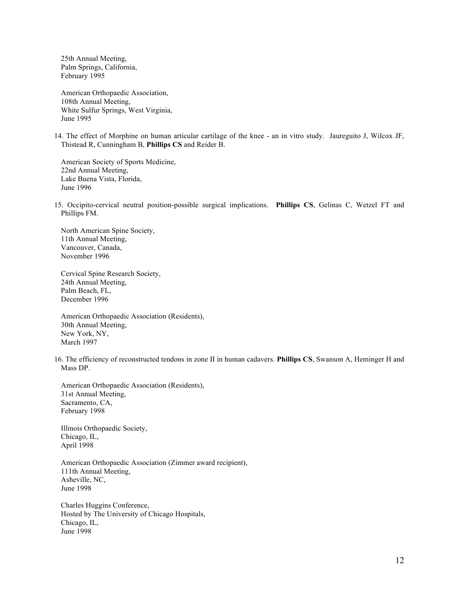25th Annual Meeting, Palm Springs, California, February 1995

American Orthopaedic Association, 108th Annual Meeting, White Sulfur Springs, West Virginia, June 1995

14. The effect of Morphine on human articular cartilage of the knee - an in vitro study. Jaureguito J, Wilcox JF, Thistead R, Cunningham B, **Phillips CS** and Reider B.

American Society of Sports Medicine, 22nd Annual Meeting, Lake Buena Vista, Florida, June 1996

15. Occipito-cervical neutral position-possible surgical implications. **Phillips CS**, Gelinas C, Wetzel FT and Phillips FM.

North American Spine Society, 11th Annual Meeting, Vancouver, Canada, November 1996

Cervical Spine Research Society, 24th Annual Meeting, Palm Beach, FL, December 1996

American Orthopaedic Association (Residents), 30th Annual Meeting, New York, NY, March 1997

16. The efficiency of reconstructed tendons in zone II in human cadavers. **Phillips CS**, Swanson A, Heminger H and Mass DP.

American Orthopaedic Association (Residents), 31st Annual Meeting, Sacramento, CA, February 1998

Illinois Orthopaedic Society, Chicago, IL, April 1998

American Orthopaedic Association (Zimmer award recipient), 111th Annual Meeting, Asheville, NC, June 1998

Charles Huggins Conference, Hosted by The University of Chicago Hospitals, Chicago, IL, June 1998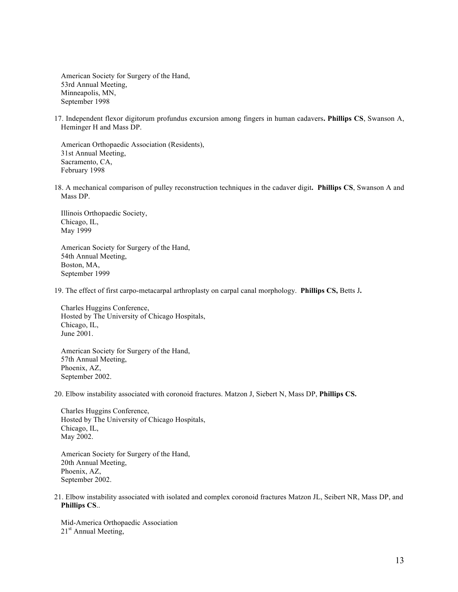American Society for Surgery of the Hand, 53rd Annual Meeting, Minneapolis, MN, September 1998

17. Independent flexor digitorum profundus excursion among fingers in human cadavers**. Phillips CS**, Swanson A, Heminger H and Mass DP.

American Orthopaedic Association (Residents), 31st Annual Meeting, Sacramento, CA, February 1998

18. A mechanical comparison of pulley reconstruction techniques in the cadaver digit**. Phillips CS**, Swanson A and Mass DP.

Illinois Orthopaedic Society, Chicago, IL, May 1999

American Society for Surgery of the Hand, 54th Annual Meeting, Boston, MA, September 1999

19. The effect of first carpo-metacarpal arthroplasty on carpal canal morphology. **Phillips CS,** Betts J**.**

Charles Huggins Conference, Hosted by The University of Chicago Hospitals, Chicago, IL, June 2001.

American Society for Surgery of the Hand, 57th Annual Meeting, Phoenix, AZ, September 2002.

20. Elbow instability associated with coronoid fractures. Matzon J, Siebert N, Mass DP, **Phillips CS.** 

Charles Huggins Conference, Hosted by The University of Chicago Hospitals, Chicago, IL, May 2002.

American Society for Surgery of the Hand, 20th Annual Meeting, Phoenix, AZ, September 2002.

21. Elbow instability associated with isolated and complex coronoid fractures Matzon JL, Seibert NR, Mass DP, and **Phillips CS**..

Mid-America Orthopaedic Association 21<sup>st</sup> Annual Meeting,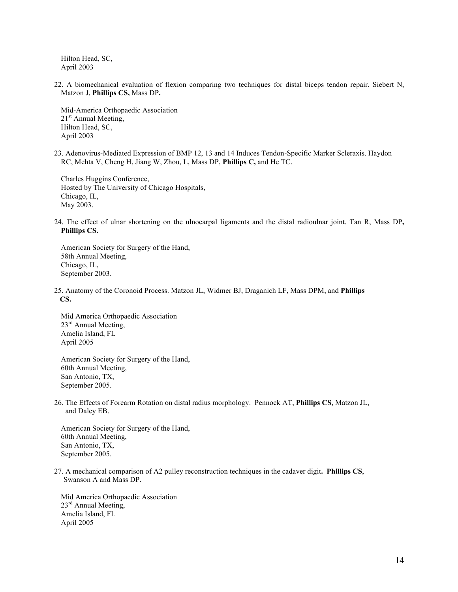Hilton Head, SC, April 2003

22. A biomechanical evaluation of flexion comparing two techniques for distal biceps tendon repair. Siebert N, Matzon J, **Phillips CS,** Mass DP**.** 

Mid-America Orthopaedic Association 21<sup>st</sup> Annual Meeting, Hilton Head, SC, April 2003

23. Adenovirus-Mediated Expression of BMP 12, 13 and 14 Induces Tendon-Specific Marker Scleraxis. Haydon RC, Mehta V, Cheng H, Jiang W, Zhou, L, Mass DP, **Phillips C,** and He TC.

Charles Huggins Conference, Hosted by The University of Chicago Hospitals, Chicago, IL, May 2003.

24. The effect of ulnar shortening on the ulnocarpal ligaments and the distal radioulnar joint. Tan R, Mass DP**, Phillips CS.**

American Society for Surgery of the Hand, 58th Annual Meeting, Chicago, IL, September 2003.

25. Anatomy of the Coronoid Process. Matzon JL, Widmer BJ, Draganich LF, Mass DPM, and **Phillips CS.**

Mid America Orthopaedic Association 23<sup>rd</sup> Annual Meeting, Amelia Island, FL April 2005

American Society for Surgery of the Hand, 60th Annual Meeting, San Antonio, TX, September 2005.

26. The Effects of Forearm Rotation on distal radius morphology. Pennock AT, **Phillips CS**, Matzon JL, and Daley EB.

American Society for Surgery of the Hand, 60th Annual Meeting, San Antonio, TX, September 2005.

27. A mechanical comparison of A2 pulley reconstruction techniques in the cadaver digit**. Phillips CS**, Swanson A and Mass DP.

Mid America Orthopaedic Association 23<sup>rd</sup> Annual Meeting, Amelia Island, FL April 2005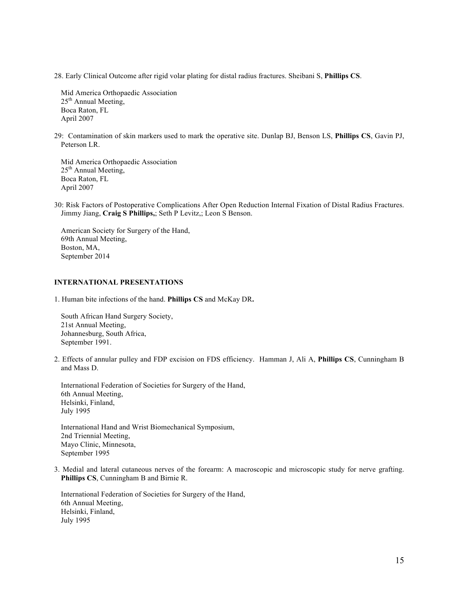28. Early Clinical Outcome after rigid volar plating for distal radius fractures. Sheibani S, **Phillips CS**.

Mid America Orthopaedic Association 25<sup>th</sup> Annual Meeting, Boca Raton, FL April 2007

29: Contamination of skin markers used to mark the operative site. Dunlap BJ, Benson LS, **Phillips CS**, Gavin PJ, Peterson LR.

Mid America Orthopaedic Association  $25<sup>th</sup>$  Annual Meeting, Boca Raton, FL April 2007

30: Risk Factors of Postoperative Complications After Open Reduction Internal Fixation of Distal Radius Fractures. Jimmy Jiang, **Craig S Phillips,**; Seth P Levitz,; Leon S Benson.

American Society for Surgery of the Hand, 69th Annual Meeting, Boston, MA, September 2014

### **INTERNATIONAL PRESENTATIONS**

1. Human bite infections of the hand. **Phillips CS** and McKay DR**.**

South African Hand Surgery Society, 21st Annual Meeting, Johannesburg, South Africa, September 1991.

2. Effects of annular pulley and FDP excision on FDS efficiency. Hamman J, Ali A, **Phillips CS**, Cunningham B and Mass D.

International Federation of Societies for Surgery of the Hand, 6th Annual Meeting, Helsinki, Finland, July 1995

International Hand and Wrist Biomechanical Symposium, 2nd Triennial Meeting, Mayo Clinic, Minnesota, September 1995

3. Medial and lateral cutaneous nerves of the forearm: A macroscopic and microscopic study for nerve grafting. **Phillips CS**, Cunningham B and Birnie R.

International Federation of Societies for Surgery of the Hand, 6th Annual Meeting, Helsinki, Finland, July 1995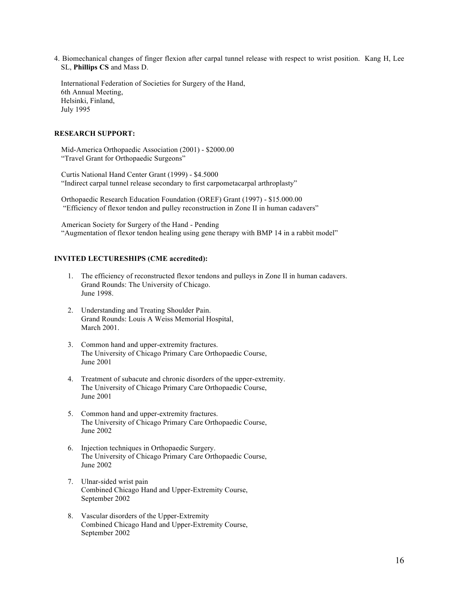4. Biomechanical changes of finger flexion after carpal tunnel release with respect to wrist position. Kang H, Lee SL, **Phillips CS** and Mass D.

International Federation of Societies for Surgery of the Hand, 6th Annual Meeting, Helsinki, Finland, July 1995

### **RESEARCH SUPPORT:**

Mid-America Orthopaedic Association (2001) - \$2000.00 "Travel Grant for Orthopaedic Surgeons"

Curtis National Hand Center Grant (1999) - \$4.5000 "Indirect carpal tunnel release secondary to first carpometacarpal arthroplasty"

Orthopaedic Research Education Foundation (OREF) Grant (1997) - \$15.000.00 "Efficiency of flexor tendon and pulley reconstruction in Zone II in human cadavers"

American Society for Surgery of the Hand - Pending "Augmentation of flexor tendon healing using gene therapy with BMP 14 in a rabbit model"

## **INVITED LECTURESHIPS (CME accredited):**

- 1. The efficiency of reconstructed flexor tendons and pulleys in Zone II in human cadavers. Grand Rounds: The University of Chicago. June 1998.
- 2. Understanding and Treating Shoulder Pain. Grand Rounds: Louis A Weiss Memorial Hospital, March 2001.
- 3. Common hand and upper-extremity fractures. The University of Chicago Primary Care Orthopaedic Course, June 2001
- 4. Treatment of subacute and chronic disorders of the upper-extremity. The University of Chicago Primary Care Orthopaedic Course, June 2001
- 5. Common hand and upper-extremity fractures. The University of Chicago Primary Care Orthopaedic Course, June 2002
- 6. Injection techniques in Orthopaedic Surgery. The University of Chicago Primary Care Orthopaedic Course, June 2002
- 7. Ulnar-sided wrist pain Combined Chicago Hand and Upper-Extremity Course, September 2002
- 8. Vascular disorders of the Upper-Extremity Combined Chicago Hand and Upper-Extremity Course, September 2002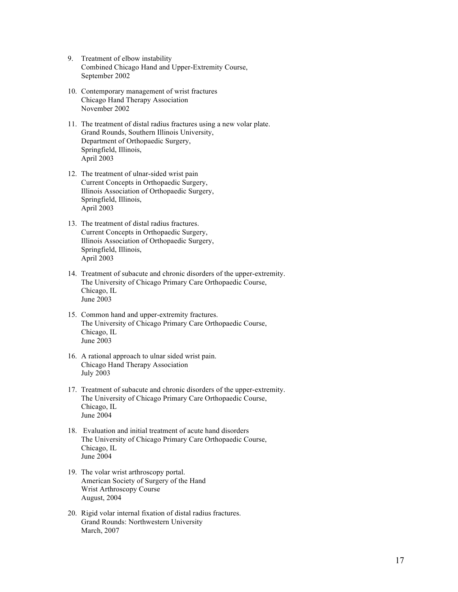- 9. Treatment of elbow instability Combined Chicago Hand and Upper-Extremity Course, September 2002
- 10. Contemporary management of wrist fractures Chicago Hand Therapy Association November 2002
- 11. The treatment of distal radius fractures using a new volar plate. Grand Rounds, Southern Illinois University, Department of Orthopaedic Surgery, Springfield, Illinois, April 2003
- 12. The treatment of ulnar-sided wrist pain Current Concepts in Orthopaedic Surgery, Illinois Association of Orthopaedic Surgery, Springfield, Illinois, April 2003
- 13. The treatment of distal radius fractures. Current Concepts in Orthopaedic Surgery, Illinois Association of Orthopaedic Surgery, Springfield, Illinois, April 2003
- 14. Treatment of subacute and chronic disorders of the upper-extremity. The University of Chicago Primary Care Orthopaedic Course, Chicago, IL June 2003
- 15. Common hand and upper-extremity fractures. The University of Chicago Primary Care Orthopaedic Course, Chicago, IL June 2003
- 16. A rational approach to ulnar sided wrist pain. Chicago Hand Therapy Association July 2003
- 17. Treatment of subacute and chronic disorders of the upper-extremity. The University of Chicago Primary Care Orthopaedic Course, Chicago, IL June 2004
- 18. Evaluation and initial treatment of acute hand disorders The University of Chicago Primary Care Orthopaedic Course, Chicago, IL June 2004
- 19. The volar wrist arthroscopy portal. American Society of Surgery of the Hand Wrist Arthroscopy Course August, 2004
- 20. Rigid volar internal fixation of distal radius fractures. Grand Rounds: Northwestern University March, 2007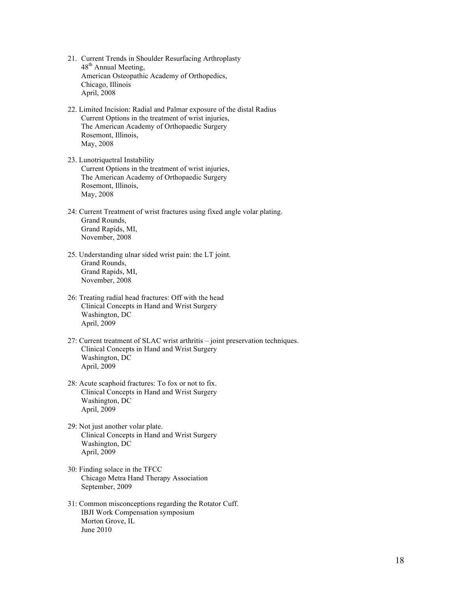- 21. Current Trends in Shoulder Resurfacing Arthroplasty 48<sup>th</sup> Annual Meeting, American Osteopathic Academy of Orthopedics, Chicago, Illinois April, 2008
- 22. Limited Incision: Radial and Palmar exposure of the distal Radius Current Options in the treatment of wrist injuries, The American Academy of Orthopaedic Surgery Rosemont, Illinois, May, 2008
- 23. Lunotriquetral Instability Current Options in the treatment of wrist injuries, The American Academy of Orthopaedic Surgery Rosemont, Illinois, May, 2008
- 24: Current Treatment of wrist fractures using fixed angle volar plating. Grand Rounds, Grand Rapids, MI, November, 2008
- 25. Understanding ulnar sided wrist pain: the LT joint. Grand Rounds, Grand Rapids, MI, November, 2008
- 26: Treating radial head fractures: Off with the head Clinical Concepts in Hand and Wrist Surgery Washington, DC April, 2009
- 27: Current treatment of SLAC wrist arthritis joint preservation techniques. Clinical Concepts in Hand and Wrist Surgery Washington, DC April, 2009
- 28: Acute scaphoid fractures: To fox or not to fix. Clinical Concepts in Hand and Wrist Surgery Washington, DC April, 2009
- 29: Not just another volar plate. Clinical Concepts in Hand and Wrist Surgery Washington, DC April, 2009
- 30: Finding solace in the TFCC Chicago Metra Hand Therapy Association September, 2009
- 31: Common misconceptions regarding the Rotator Cuff. IBJI Work Compensation symposium Morton Grove, IL June 2010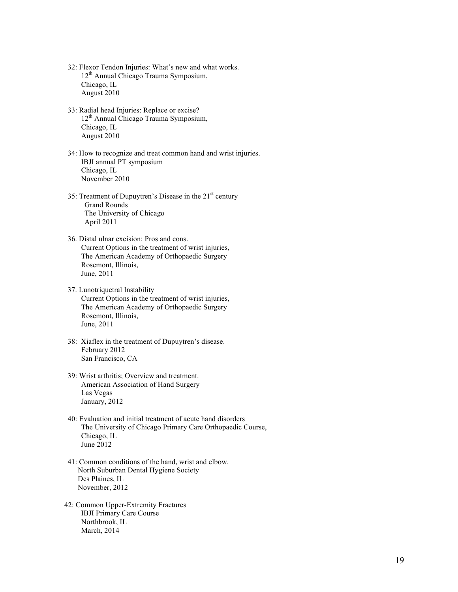- 32: Flexor Tendon Injuries: What's new and what works. 12th Annual Chicago Trauma Symposium, Chicago, IL August 2010
- 33: Radial head Injuries: Replace or excise?  $12<sup>th</sup>$  Annual Chicago Trauma Symposium, Chicago, IL August 2010
- 34: How to recognize and treat common hand and wrist injuries. IBJI annual PT symposium Chicago, IL November 2010
- 35: Treatment of Dupuytren's Disease in the  $21<sup>st</sup>$  century Grand Rounds The University of Chicago April 2011
- 36. Distal ulnar excision: Pros and cons. Current Options in the treatment of wrist injuries, The American Academy of Orthopaedic Surgery Rosemont, Illinois, June, 2011
- 37. Lunotriquetral Instability Current Options in the treatment of wrist injuries, The American Academy of Orthopaedic Surgery Rosemont, Illinois, June, 2011
- 38: Xiaflex in the treatment of Dupuytren's disease. February 2012 San Francisco, CA
- 39: Wrist arthritis; Overview and treatment. American Association of Hand Surgery Las Vegas January, 2012
- 40: Evaluation and initial treatment of acute hand disorders The University of Chicago Primary Care Orthopaedic Course, Chicago, IL June 2012
- 41: Common conditions of the hand, wrist and elbow. North Suburban Dental Hygiene Society Des Plaines, IL November, 2012
- 42: Common Upper-Extremity Fractures IBJI Primary Care Course Northbrook, IL March, 2014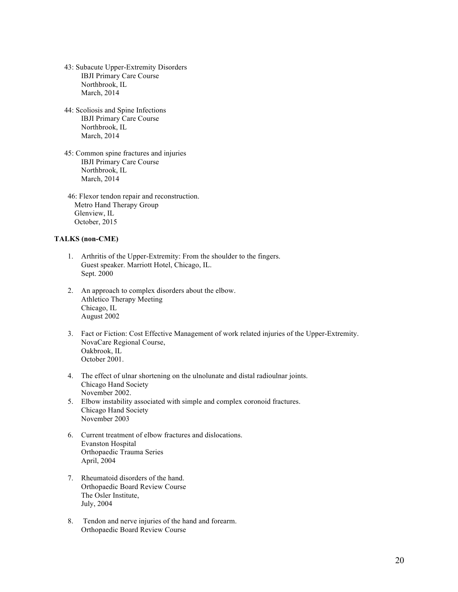- 43: Subacute Upper-Extremity Disorders IBJI Primary Care Course Northbrook, IL March, 2014
- 44: Scoliosis and Spine Infections IBJI Primary Care Course Northbrook, IL March, 2014
- 45: Common spine fractures and injuries IBJI Primary Care Course Northbrook, IL March, 2014
- 46: Flexor tendon repair and reconstruction. Metro Hand Therapy Group Glenview, IL October, 2015

## **TALKS (non-CME)**

- 1. Arthritis of the Upper-Extremity: From the shoulder to the fingers. Guest speaker. Marriott Hotel, Chicago, IL. Sept. 2000
- 2. An approach to complex disorders about the elbow. Athletico Therapy Meeting Chicago, IL August 2002
- 3. Fact or Fiction: Cost Effective Management of work related injuries of the Upper-Extremity. NovaCare Regional Course, Oakbrook, IL October 2001.
- 4. The effect of ulnar shortening on the ulnolunate and distal radioulnar joints. Chicago Hand Society November 2002.
- 5. Elbow instability associated with simple and complex coronoid fractures. Chicago Hand Society November 2003
- 6. Current treatment of elbow fractures and dislocations. Evanston Hospital Orthopaedic Trauma Series April, 2004
- 7. Rheumatoid disorders of the hand. Orthopaedic Board Review Course The Osler Institute, July, 2004
- 8. Tendon and nerve injuries of the hand and forearm. Orthopaedic Board Review Course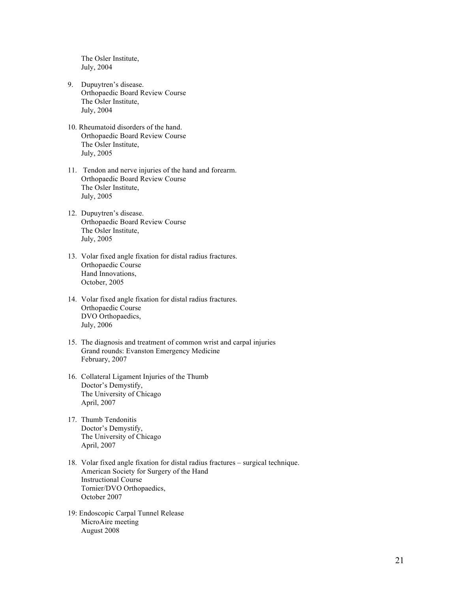The Osler Institute, July, 2004

- 9. Dupuytren's disease. Orthopaedic Board Review Course The Osler Institute, July, 2004
- 10. Rheumatoid disorders of the hand. Orthopaedic Board Review Course The Osler Institute, July, 2005
- 11. Tendon and nerve injuries of the hand and forearm. Orthopaedic Board Review Course The Osler Institute, July, 2005
- 12. Dupuytren's disease. Orthopaedic Board Review Course The Osler Institute, July, 2005
- 13. Volar fixed angle fixation for distal radius fractures. Orthopaedic Course Hand Innovations, October, 2005
- 14. Volar fixed angle fixation for distal radius fractures. Orthopaedic Course DVO Orthopaedics, July, 2006
- 15. The diagnosis and treatment of common wrist and carpal injuries Grand rounds: Evanston Emergency Medicine February, 2007
- 16. Collateral Ligament Injuries of the Thumb Doctor's Demystify, The University of Chicago April, 2007
- 17. Thumb Tendonitis Doctor's Demystify, The University of Chicago April, 2007
- 18. Volar fixed angle fixation for distal radius fractures surgical technique. American Society for Surgery of the Hand Instructional Course Tornier/DVO Orthopaedics, October 2007
- 19: Endoscopic Carpal Tunnel Release MicroAire meeting August 2008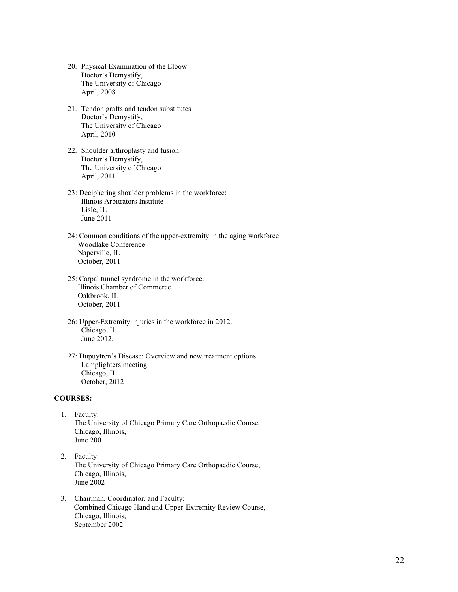- 20. Physical Examination of the Elbow Doctor's Demystify, The University of Chicago April, 2008
- 21. Tendon grafts and tendon substitutes Doctor's Demystify, The University of Chicago April, 2010
- 22. Shoulder arthroplasty and fusion Doctor's Demystify, The University of Chicago April, 2011
- 23: Deciphering shoulder problems in the workforce: Illinois Arbitrators Institute Lisle, IL June 2011
- 24: Common conditions of the upper-extremity in the aging workforce. Woodlake Conference Naperville, IL October, 2011
- 25: Carpal tunnel syndrome in the workforce. Illinois Chamber of Commerce Oakbrook, IL October, 2011
- 26: Upper-Extremity injuries in the workforce in 2012. Chicago, Il. June 2012.
- 27: Dupuytren's Disease: Overview and new treatment options. Lamplighters meeting Chicago, IL October, 2012

#### **COURSES:**

- 1. Faculty: The University of Chicago Primary Care Orthopaedic Course, Chicago, Illinois, June 2001
- 2. Faculty: The University of Chicago Primary Care Orthopaedic Course, Chicago, Illinois, June 2002
- 3. Chairman, Coordinator, and Faculty: Combined Chicago Hand and Upper-Extremity Review Course, Chicago, Illinois, September 2002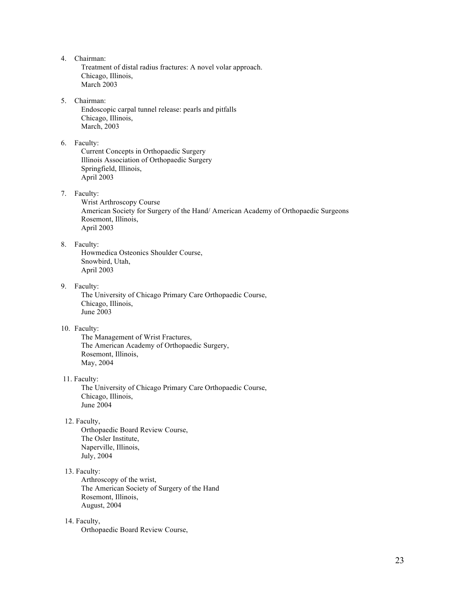4. Chairman:

Treatment of distal radius fractures: A novel volar approach. Chicago, Illinois, March 2003

### 5. Chairman:

Endoscopic carpal tunnel release: pearls and pitfalls Chicago, Illinois, March, 2003

#### 6. Faculty:

Current Concepts in Orthopaedic Surgery Illinois Association of Orthopaedic Surgery Springfield, Illinois, April 2003

7. Faculty:

Wrist Arthroscopy Course American Society for Surgery of the Hand/ American Academy of Orthopaedic Surgeons Rosemont, Illinois, April 2003

## 8. Faculty:

 Howmedica Osteonics Shoulder Course, Snowbird, Utah, April 2003

## 9. Faculty:

The University of Chicago Primary Care Orthopaedic Course, Chicago, Illinois, June 2003

### 10. Faculty:

The Management of Wrist Fractures, The American Academy of Orthopaedic Surgery, Rosemont, Illinois, May, 2004

#### 11. Faculty:

The University of Chicago Primary Care Orthopaedic Course, Chicago, Illinois, June 2004

### 12. Faculty,

Orthopaedic Board Review Course, The Osler Institute, Naperville, Illinois, July, 2004

## 13. Faculty:

Arthroscopy of the wrist, The American Society of Surgery of the Hand Rosemont, Illinois, August, 2004

### 14. Faculty,

Orthopaedic Board Review Course,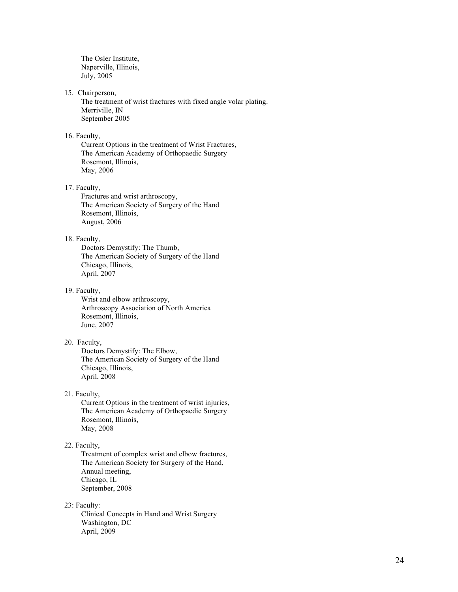The Osler Institute, Naperville, Illinois, July, 2005

#### 15. Chairperson,

The treatment of wrist fractures with fixed angle volar plating. Merriville, IN September 2005

## 16. Faculty,

Current Options in the treatment of Wrist Fractures, The American Academy of Orthopaedic Surgery Rosemont, Illinois, May, 2006

#### 17. Faculty,

Fractures and wrist arthroscopy, The American Society of Surgery of the Hand Rosemont, Illinois, August, 2006

## 18. Faculty,

Doctors Demystify: The Thumb, The American Society of Surgery of the Hand Chicago, Illinois, April, 2007

#### 19. Faculty,

Wrist and elbow arthroscopy, Arthroscopy Association of North America Rosemont, Illinois, June, 2007

## 20. Faculty,

Doctors Demystify: The Elbow , The American Society of Surgery of the Hand Chicago, Illinois, April, 2008

21. Faculty,

Current Options in the treatment of wrist injuries, The American Academy of Orthopaedic Surgery Rosemont, Illinois, May, 2008

#### 22. Faculty,

Treatment of complex wrist and elbow fractures, The American Society for Surgery of the Hand, Annual meeting, Chicago, IL September, 2008

### 23: Faculty:

Clinical Concepts in Hand and Wrist Surgery Washington, DC April, 2009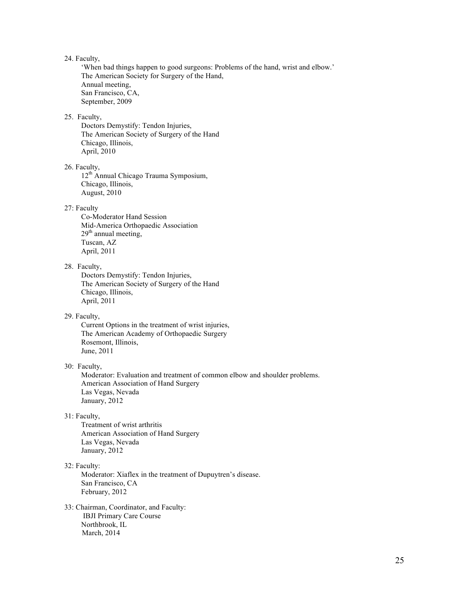## 24. Faculty,

'When bad things happen to good surgeons: Problems of the hand, wrist and elbow.' The American Society for Surgery of the Hand, Annual meeting, San Francisco, CA, September, 2009

### 25. Faculty,

Doctors Demystify: Tendon Injuries, The American Society of Surgery of the Hand Chicago, Illinois, April, 2010

#### 26. Faculty,

12th Annual Chicago Trauma Symposium, Chicago, Illinois, August, 2010

#### 27: Faculty

Co-Moderator Hand Session Mid-America Orthopaedic Association  $29<sup>th</sup>$  annual meeting, Tuscan, AZ April, 2011

### 28. Faculty,

Doctors Demystify: Tendon Injuries, The American Society of Surgery of the Hand Chicago, Illinois, April, 2011

## 29. Faculty,

Current Options in the treatment of wrist injuries, The American Academy of Orthopaedic Surgery Rosemont, Illinois, June, 2011

## 30: Faculty,

Moderator: Evaluation and treatment of common elbow and shoulder problems. American Association of Hand Surgery Las Vegas, Nevada January, 2012

#### 31: Faculty,

Treatment of wrist arthritis American Association of Hand Surgery Las Vegas, Nevada January, 2012

#### 32: Faculty:

Moderator: Xiaflex in the treatment of Dupuytren's disease. San Francisco, CA February, 2012

33: Chairman, Coordinator, and Faculty: IBJI Primary Care Course Northbrook, IL March, 2014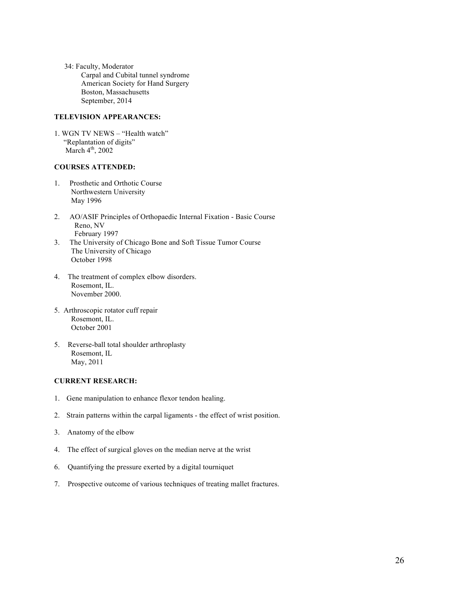34: Faculty, Moderator Carpal and Cubital tunnel syndrome American Society for Hand Surgery Boston, Massachusetts September, 2014

## **TELEVISION APPEARANCES:**

1. WGN TV NEWS – "Health watch" "Replantation of digits" March  $4<sup>th</sup>$ , 2002

## **COURSES ATTENDED:**

- 1. Prosthetic and Orthotic Course Northwestern University May 1996
- 2. AO/ASIF Principles of Orthopaedic Internal Fixation Basic Course Reno, NV February 1997
- 3. The University of Chicago Bone and Soft Tissue Tumor Course The University of Chicago October 1998
- 4. The treatment of complex elbow disorders. Rosemont, IL. November 2000.
- 5. Arthroscopic rotator cuff repair Rosemont, IL. October 2001
- 5. Reverse-ball total shoulder arthroplasty Rosemont, IL May, 2011

## **CURRENT RESEARCH:**

- 1. Gene manipulation to enhance flexor tendon healing.
- 2. Strain patterns within the carpal ligaments the effect of wrist position.
- 3. Anatomy of the elbow
- 4. The effect of surgical gloves on the median nerve at the wrist
- 6. Quantifying the pressure exerted by a digital tourniquet
- 7. Prospective outcome of various techniques of treating mallet fractures.